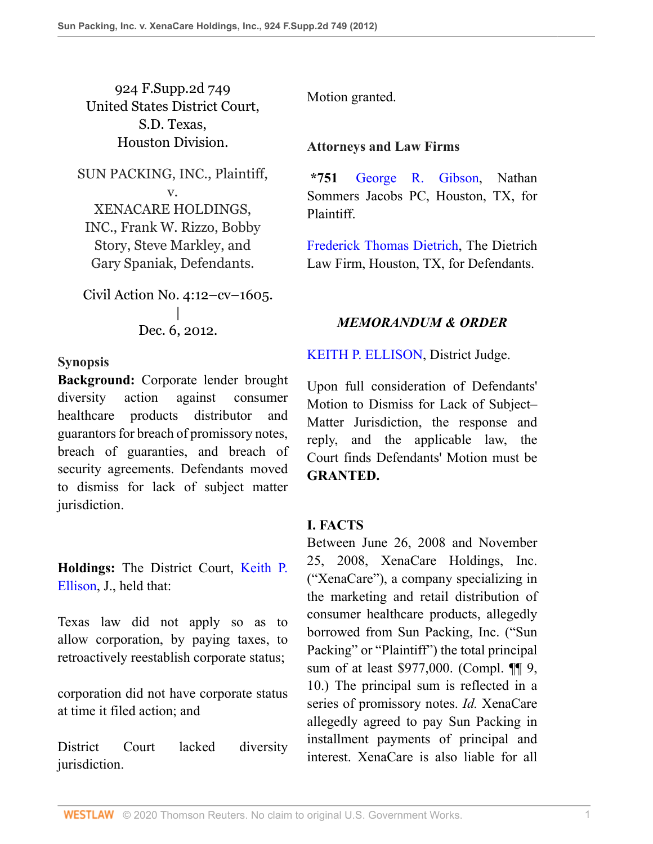924 F.Supp.2d 749 United States District Court, S.D. Texas, Houston Division.

SUN PACKING, INC., Plaintiff, v. XENACARE HOLDINGS, INC., Frank W. Rizzo, Bobby Story, Steve Markley, and Gary Spaniak, Defendants.

Civil Action No. 4:12–cv–1605. | Dec. 6, 2012.

**Synopsis**

**Background:** Corporate lender brought diversity action against consumer healthcare products distributor and guarantors for breach of promissory notes, breach of guaranties, and breach of security agreements. Defendants moved to dismiss for lack of subject matter jurisdiction.

**Holdings:** The District Court, [Keith P.](http://www.westlaw.com/Link/Document/FullText?findType=h&pubNum=176284&cite=0326388501&originatingDoc=I87cd8c993fe211e28a21ccb9036b2470&refType=RQ&originationContext=document&vr=3.0&rs=cblt1.0&transitionType=DocumentItem&contextData=(sc.UserEnteredCitation)) [Ellison,](http://www.westlaw.com/Link/Document/FullText?findType=h&pubNum=176284&cite=0326388501&originatingDoc=I87cd8c993fe211e28a21ccb9036b2470&refType=RQ&originationContext=document&vr=3.0&rs=cblt1.0&transitionType=DocumentItem&contextData=(sc.UserEnteredCitation)) J., held that:

Texas law did not apply so as to allow corporation, by paying taxes, to retroactively reestablish corporate status;

corporation did not have corporate status at time it filed action; and

District Court lacked diversity jurisdiction.

Motion granted.

### **Attorneys and Law Firms**

**\*751** [George R. Gibson](http://www.westlaw.com/Link/Document/FullText?findType=h&pubNum=176284&cite=0135216001&originatingDoc=I87cd8c993fe211e28a21ccb9036b2470&refType=RQ&originationContext=document&vr=3.0&rs=cblt1.0&transitionType=DocumentItem&contextData=(sc.UserEnteredCitation)), Nathan Sommers Jacobs PC, Houston, TX, for Plaintiff.

[Frederick Thomas Dietrich](http://www.westlaw.com/Link/Document/FullText?findType=h&pubNum=176284&cite=0302315701&originatingDoc=I87cd8c993fe211e28a21ccb9036b2470&refType=RQ&originationContext=document&vr=3.0&rs=cblt1.0&transitionType=DocumentItem&contextData=(sc.UserEnteredCitation)), The Dietrich Law Firm, Houston, TX, for Defendants.

# *MEMORANDUM & ORDER*

[KEITH P. ELLISON,](http://www.westlaw.com/Link/Document/FullText?findType=h&pubNum=176284&cite=0326388501&originatingDoc=I87cd8c993fe211e28a21ccb9036b2470&refType=RQ&originationContext=document&vr=3.0&rs=cblt1.0&transitionType=DocumentItem&contextData=(sc.UserEnteredCitation)) District Judge.

Upon full consideration of Defendants' Motion to Dismiss for Lack of Subject– Matter Jurisdiction, the response and reply, and the applicable law, the Court finds Defendants' Motion must be **GRANTED.**

### **I. FACTS**

Between June 26, 2008 and November 25, 2008, XenaCare Holdings, Inc. ("XenaCare"), a company specializing in the marketing and retail distribution of consumer healthcare products, allegedly borrowed from Sun Packing, Inc. ("Sun Packing" or "Plaintiff") the total principal sum of at least \$977,000. (Compl. ¶¶ 9, 10.) The principal sum is reflected in a series of promissory notes. *Id.* XenaCare allegedly agreed to pay Sun Packing in installment payments of principal and interest. XenaCare is also liable for all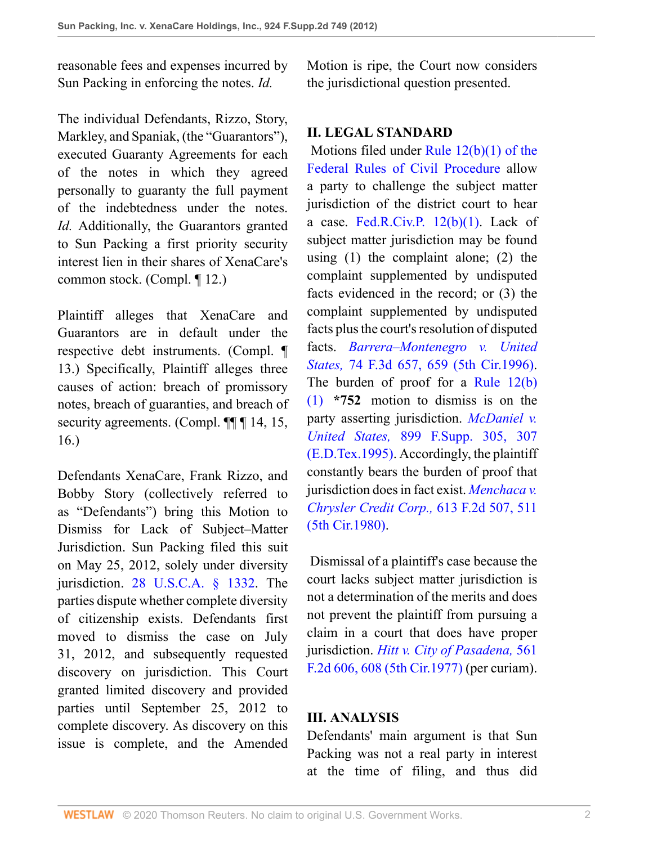reasonable fees and expenses incurred by Sun Packing in enforcing the notes. *Id.*

The individual Defendants, Rizzo, Story, Markley, and Spaniak, (the "Guarantors"), executed Guaranty Agreements for each of the notes in which they agreed personally to guaranty the full payment of the indebtedness under the notes. *Id.* Additionally, the Guarantors granted to Sun Packing a first priority security interest lien in their shares of XenaCare's common stock. (Compl. ¶ 12.)

Plaintiff alleges that XenaCare and Guarantors are in default under the respective debt instruments. (Compl. ¶ 13.) Specifically, Plaintiff alleges three causes of action: breach of promissory notes, breach of guaranties, and breach of security agreements. (Compl. ¶¶ 14, 15, 16.)

Defendants XenaCare, Frank Rizzo, and Bobby Story (collectively referred to as "Defendants") bring this Motion to Dismiss for Lack of Subject–Matter Jurisdiction. Sun Packing filed this suit on May 25, 2012, solely under diversity jurisdiction. [28 U.S.C.A. § 1332](http://www.westlaw.com/Link/Document/FullText?findType=L&pubNum=1000546&cite=28USCAS1332&originatingDoc=I87cd8c993fe211e28a21ccb9036b2470&refType=LQ&originationContext=document&vr=3.0&rs=cblt1.0&transitionType=DocumentItem&contextData=(sc.UserEnteredCitation)). The parties dispute whether complete diversity of citizenship exists. Defendants first moved to dismiss the case on July 31, 2012, and subsequently requested discovery on jurisdiction. This Court granted limited discovery and provided parties until September 25, 2012 to complete discovery. As discovery on this issue is complete, and the Amended Motion is ripe, the Court now considers the jurisdictional question presented.

#### **II. LEGAL STANDARD**

 Motions filed under [Rule 12\(b\)\(1\) of the](http://www.westlaw.com/Link/Document/FullText?findType=L&pubNum=1004365&cite=USFRCPR12&originatingDoc=I87cd8c993fe211e28a21ccb9036b2470&refType=LQ&originationContext=document&vr=3.0&rs=cblt1.0&transitionType=DocumentItem&contextData=(sc.UserEnteredCitation)) [Federal Rules of Civil Procedure](http://www.westlaw.com/Link/Document/FullText?findType=L&pubNum=1004365&cite=USFRCPR12&originatingDoc=I87cd8c993fe211e28a21ccb9036b2470&refType=LQ&originationContext=document&vr=3.0&rs=cblt1.0&transitionType=DocumentItem&contextData=(sc.UserEnteredCitation)) allow a party to challenge the subject matter jurisdiction of the district court to hear a case. Fed.R.Civ.P.  $12(b)(1)$ . Lack of subject matter jurisdiction may be found using (1) the complaint alone; (2) the complaint supplemented by undisputed facts evidenced in the record; or (3) the complaint supplemented by undisputed facts plus the court's resolution of disputed facts. *[Barrera–Montenegro v. United](http://www.westlaw.com/Link/Document/FullText?findType=Y&serNum=1996038484&pubNum=506&originatingDoc=I87cd8c993fe211e28a21ccb9036b2470&refType=RP&fi=co_pp_sp_506_659&originationContext=document&vr=3.0&rs=cblt1.0&transitionType=DocumentItem&contextData=(sc.UserEnteredCitation)#co_pp_sp_506_659) States,* [74 F.3d 657, 659 \(5th Cir.1996\).](http://www.westlaw.com/Link/Document/FullText?findType=Y&serNum=1996038484&pubNum=506&originatingDoc=I87cd8c993fe211e28a21ccb9036b2470&refType=RP&fi=co_pp_sp_506_659&originationContext=document&vr=3.0&rs=cblt1.0&transitionType=DocumentItem&contextData=(sc.UserEnteredCitation)#co_pp_sp_506_659) The burden of proof for a [Rule 12\(b\)](http://www.westlaw.com/Link/Document/FullText?findType=L&pubNum=1004365&cite=USFRCPR12&originatingDoc=I87cd8c993fe211e28a21ccb9036b2470&refType=LQ&originationContext=document&vr=3.0&rs=cblt1.0&transitionType=DocumentItem&contextData=(sc.UserEnteredCitation)) [\(1\)](http://www.westlaw.com/Link/Document/FullText?findType=L&pubNum=1004365&cite=USFRCPR12&originatingDoc=I87cd8c993fe211e28a21ccb9036b2470&refType=LQ&originationContext=document&vr=3.0&rs=cblt1.0&transitionType=DocumentItem&contextData=(sc.UserEnteredCitation)) **\*752** motion to dismiss is on the party asserting jurisdiction. *[McDaniel v.](http://www.westlaw.com/Link/Document/FullText?findType=Y&serNum=1995200195&pubNum=345&originatingDoc=I87cd8c993fe211e28a21ccb9036b2470&refType=RP&fi=co_pp_sp_345_307&originationContext=document&vr=3.0&rs=cblt1.0&transitionType=DocumentItem&contextData=(sc.UserEnteredCitation)#co_pp_sp_345_307) United States,* [899 F.Supp. 305, 307](http://www.westlaw.com/Link/Document/FullText?findType=Y&serNum=1995200195&pubNum=345&originatingDoc=I87cd8c993fe211e28a21ccb9036b2470&refType=RP&fi=co_pp_sp_345_307&originationContext=document&vr=3.0&rs=cblt1.0&transitionType=DocumentItem&contextData=(sc.UserEnteredCitation)#co_pp_sp_345_307) [\(E.D.Tex.1995\)](http://www.westlaw.com/Link/Document/FullText?findType=Y&serNum=1995200195&pubNum=345&originatingDoc=I87cd8c993fe211e28a21ccb9036b2470&refType=RP&fi=co_pp_sp_345_307&originationContext=document&vr=3.0&rs=cblt1.0&transitionType=DocumentItem&contextData=(sc.UserEnteredCitation)#co_pp_sp_345_307). Accordingly, the plaintiff constantly bears the burden of proof that jurisdiction does in fact exist. *[Menchaca v.](http://www.westlaw.com/Link/Document/FullText?findType=Y&serNum=1980102180&pubNum=350&originatingDoc=I87cd8c993fe211e28a21ccb9036b2470&refType=RP&fi=co_pp_sp_350_511&originationContext=document&vr=3.0&rs=cblt1.0&transitionType=DocumentItem&contextData=(sc.UserEnteredCitation)#co_pp_sp_350_511) [Chrysler Credit Corp.,](http://www.westlaw.com/Link/Document/FullText?findType=Y&serNum=1980102180&pubNum=350&originatingDoc=I87cd8c993fe211e28a21ccb9036b2470&refType=RP&fi=co_pp_sp_350_511&originationContext=document&vr=3.0&rs=cblt1.0&transitionType=DocumentItem&contextData=(sc.UserEnteredCitation)#co_pp_sp_350_511)* 613 F.2d 507, 511 [\(5th Cir.1980\).](http://www.westlaw.com/Link/Document/FullText?findType=Y&serNum=1980102180&pubNum=350&originatingDoc=I87cd8c993fe211e28a21ccb9036b2470&refType=RP&fi=co_pp_sp_350_511&originationContext=document&vr=3.0&rs=cblt1.0&transitionType=DocumentItem&contextData=(sc.UserEnteredCitation)#co_pp_sp_350_511)

 Dismissal of a plaintiff's case because the court lacks subject matter jurisdiction is not a determination of the merits and does not prevent the plaintiff from pursuing a claim in a court that does have proper jurisdiction. *[Hitt v. City of Pasadena,](http://www.westlaw.com/Link/Document/FullText?findType=Y&serNum=1977123591&pubNum=350&originatingDoc=I87cd8c993fe211e28a21ccb9036b2470&refType=RP&fi=co_pp_sp_350_608&originationContext=document&vr=3.0&rs=cblt1.0&transitionType=DocumentItem&contextData=(sc.UserEnteredCitation)#co_pp_sp_350_608)* 561 [F.2d 606, 608 \(5th Cir.1977\)](http://www.westlaw.com/Link/Document/FullText?findType=Y&serNum=1977123591&pubNum=350&originatingDoc=I87cd8c993fe211e28a21ccb9036b2470&refType=RP&fi=co_pp_sp_350_608&originationContext=document&vr=3.0&rs=cblt1.0&transitionType=DocumentItem&contextData=(sc.UserEnteredCitation)#co_pp_sp_350_608) (per curiam).

### **III. ANALYSIS**

Defendants' main argument is that Sun Packing was not a real party in interest at the time of filing, and thus did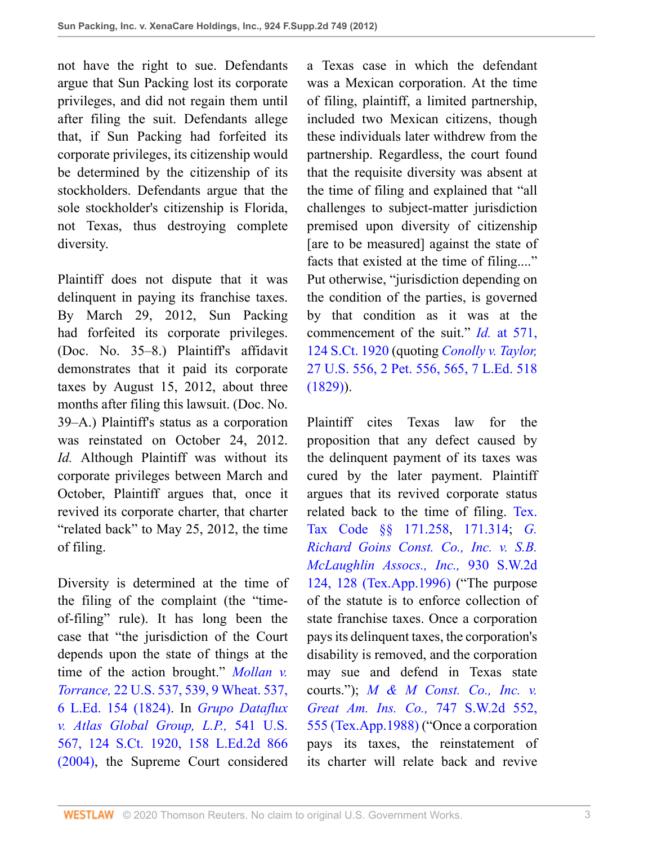not have the right to sue. Defendants argue that Sun Packing lost its corporate privileges, and did not regain them until after filing the suit. Defendants allege that, if Sun Packing had forfeited its corporate privileges, its citizenship would be determined by the citizenship of its stockholders. Defendants argue that the sole stockholder's citizenship is Florida, not Texas, thus destroying complete diversity.

Plaintiff does not dispute that it was delinquent in paying its franchise taxes. By March 29, 2012, Sun Packing had forfeited its corporate privileges. (Doc. No. 35–8.) Plaintiff's affidavit demonstrates that it paid its corporate taxes by August 15, 2012, about three months after filing this lawsuit. (Doc. No. 39–A.) Plaintiff's status as a corporation was reinstated on October 24, 2012. *Id.* Although Plaintiff was without its corporate privileges between March and October, Plaintiff argues that, once it revived its corporate charter, that charter "related back" to May 25, 2012, the time of filing.

Diversity is determined at the time of the filing of the complaint (the "timeof-filing" rule). It has long been the case that "the jurisdiction of the Court depends upon the state of things at the time of the action brought." *[Mollan v.](http://www.westlaw.com/Link/Document/FullText?findType=Y&serNum=1800125610&pubNum=780&originatingDoc=I87cd8c993fe211e28a21ccb9036b2470&refType=RP&fi=co_pp_sp_780_539&originationContext=document&vr=3.0&rs=cblt1.0&transitionType=DocumentItem&contextData=(sc.UserEnteredCitation)#co_pp_sp_780_539) Torrance,* [22 U.S. 537, 539, 9 Wheat. 537,](http://www.westlaw.com/Link/Document/FullText?findType=Y&serNum=1800125610&pubNum=780&originatingDoc=I87cd8c993fe211e28a21ccb9036b2470&refType=RP&fi=co_pp_sp_780_539&originationContext=document&vr=3.0&rs=cblt1.0&transitionType=DocumentItem&contextData=(sc.UserEnteredCitation)#co_pp_sp_780_539) [6 L.Ed. 154 \(1824\)](http://www.westlaw.com/Link/Document/FullText?findType=Y&serNum=1800125610&pubNum=780&originatingDoc=I87cd8c993fe211e28a21ccb9036b2470&refType=RP&fi=co_pp_sp_780_539&originationContext=document&vr=3.0&rs=cblt1.0&transitionType=DocumentItem&contextData=(sc.UserEnteredCitation)#co_pp_sp_780_539). In *[Grupo Dataflux](http://www.westlaw.com/Link/Document/FullText?findType=Y&serNum=2004477014&pubNum=708&originatingDoc=I87cd8c993fe211e28a21ccb9036b2470&refType=RP&originationContext=document&vr=3.0&rs=cblt1.0&transitionType=DocumentItem&contextData=(sc.UserEnteredCitation)) [v. Atlas Global Group, L.P.,](http://www.westlaw.com/Link/Document/FullText?findType=Y&serNum=2004477014&pubNum=708&originatingDoc=I87cd8c993fe211e28a21ccb9036b2470&refType=RP&originationContext=document&vr=3.0&rs=cblt1.0&transitionType=DocumentItem&contextData=(sc.UserEnteredCitation))* 541 U.S. [567, 124 S.Ct. 1920, 158 L.Ed.2d 866](http://www.westlaw.com/Link/Document/FullText?findType=Y&serNum=2004477014&pubNum=708&originatingDoc=I87cd8c993fe211e28a21ccb9036b2470&refType=RP&originationContext=document&vr=3.0&rs=cblt1.0&transitionType=DocumentItem&contextData=(sc.UserEnteredCitation)) [\(2004\),](http://www.westlaw.com/Link/Document/FullText?findType=Y&serNum=2004477014&pubNum=708&originatingDoc=I87cd8c993fe211e28a21ccb9036b2470&refType=RP&originationContext=document&vr=3.0&rs=cblt1.0&transitionType=DocumentItem&contextData=(sc.UserEnteredCitation)) the Supreme Court considered

a Texas case in which the defendant was a Mexican corporation. At the time of filing, plaintiff, a limited partnership, included two Mexican citizens, though these individuals later withdrew from the partnership. Regardless, the court found that the requisite diversity was absent at the time of filing and explained that "all challenges to subject-matter jurisdiction premised upon diversity of citizenship [are to be measured] against the state of facts that existed at the time of filing...." Put otherwise, "jurisdiction depending on the condition of the parties, is governed by that condition as it was at the commencement of the suit." *Id.* [at 571,](http://www.westlaw.com/Link/Document/FullText?findType=Y&serNum=2004477014&pubNum=708&originatingDoc=I87cd8c993fe211e28a21ccb9036b2470&refType=RP&originationContext=document&vr=3.0&rs=cblt1.0&transitionType=DocumentItem&contextData=(sc.UserEnteredCitation)) [124 S.Ct. 1920](http://www.westlaw.com/Link/Document/FullText?findType=Y&serNum=2004477014&pubNum=708&originatingDoc=I87cd8c993fe211e28a21ccb9036b2470&refType=RP&originationContext=document&vr=3.0&rs=cblt1.0&transitionType=DocumentItem&contextData=(sc.UserEnteredCitation)) (quoting *[Conolly v. Taylor,](http://www.westlaw.com/Link/Document/FullText?findType=Y&serNum=1800149707&pubNum=780&originatingDoc=I87cd8c993fe211e28a21ccb9036b2470&refType=RP&originationContext=document&vr=3.0&rs=cblt1.0&transitionType=DocumentItem&contextData=(sc.UserEnteredCitation))* [27 U.S. 556, 2 Pet. 556, 565, 7 L.Ed. 518](http://www.westlaw.com/Link/Document/FullText?findType=Y&serNum=1800149707&pubNum=780&originatingDoc=I87cd8c993fe211e28a21ccb9036b2470&refType=RP&originationContext=document&vr=3.0&rs=cblt1.0&transitionType=DocumentItem&contextData=(sc.UserEnteredCitation))  $(1829)$ ).

Plaintiff cites Texas law for the proposition that any defect caused by the delinquent payment of its taxes was cured by the later payment. Plaintiff argues that its revived corporate status related back to the time of filing. [Tex.](http://www.westlaw.com/Link/Document/FullText?findType=L&pubNum=1000185&cite=TXTXS171.258&originatingDoc=I87cd8c993fe211e28a21ccb9036b2470&refType=LQ&originationContext=document&vr=3.0&rs=cblt1.0&transitionType=DocumentItem&contextData=(sc.UserEnteredCitation)) [Tax Code §§ 171.258](http://www.westlaw.com/Link/Document/FullText?findType=L&pubNum=1000185&cite=TXTXS171.258&originatingDoc=I87cd8c993fe211e28a21ccb9036b2470&refType=LQ&originationContext=document&vr=3.0&rs=cblt1.0&transitionType=DocumentItem&contextData=(sc.UserEnteredCitation)), [171.314](http://www.westlaw.com/Link/Document/FullText?findType=L&pubNum=1000185&cite=TXTXS171.314&originatingDoc=I87cd8c993fe211e28a21ccb9036b2470&refType=LQ&originationContext=document&vr=3.0&rs=cblt1.0&transitionType=DocumentItem&contextData=(sc.UserEnteredCitation)); *[G.](http://www.westlaw.com/Link/Document/FullText?findType=Y&serNum=1996125938&pubNum=713&originatingDoc=I87cd8c993fe211e28a21ccb9036b2470&refType=RP&fi=co_pp_sp_713_128&originationContext=document&vr=3.0&rs=cblt1.0&transitionType=DocumentItem&contextData=(sc.UserEnteredCitation)#co_pp_sp_713_128) [Richard Goins Const. Co., Inc. v. S.B.](http://www.westlaw.com/Link/Document/FullText?findType=Y&serNum=1996125938&pubNum=713&originatingDoc=I87cd8c993fe211e28a21ccb9036b2470&refType=RP&fi=co_pp_sp_713_128&originationContext=document&vr=3.0&rs=cblt1.0&transitionType=DocumentItem&contextData=(sc.UserEnteredCitation)#co_pp_sp_713_128) [McLaughlin Assocs., Inc.,](http://www.westlaw.com/Link/Document/FullText?findType=Y&serNum=1996125938&pubNum=713&originatingDoc=I87cd8c993fe211e28a21ccb9036b2470&refType=RP&fi=co_pp_sp_713_128&originationContext=document&vr=3.0&rs=cblt1.0&transitionType=DocumentItem&contextData=(sc.UserEnteredCitation)#co_pp_sp_713_128)* 930 S.W.2d [124, 128 \(Tex.App.1996\)](http://www.westlaw.com/Link/Document/FullText?findType=Y&serNum=1996125938&pubNum=713&originatingDoc=I87cd8c993fe211e28a21ccb9036b2470&refType=RP&fi=co_pp_sp_713_128&originationContext=document&vr=3.0&rs=cblt1.0&transitionType=DocumentItem&contextData=(sc.UserEnteredCitation)#co_pp_sp_713_128) ("The purpose of the statute is to enforce collection of state franchise taxes. Once a corporation pays its delinquent taxes, the corporation's disability is removed, and the corporation may sue and defend in Texas state courts."); *[M & M Const. Co., Inc. v.](http://www.westlaw.com/Link/Document/FullText?findType=Y&serNum=1988039880&pubNum=713&originatingDoc=I87cd8c993fe211e28a21ccb9036b2470&refType=RP&fi=co_pp_sp_713_555&originationContext=document&vr=3.0&rs=cblt1.0&transitionType=DocumentItem&contextData=(sc.UserEnteredCitation)#co_pp_sp_713_555) [Great Am. Ins. Co.,](http://www.westlaw.com/Link/Document/FullText?findType=Y&serNum=1988039880&pubNum=713&originatingDoc=I87cd8c993fe211e28a21ccb9036b2470&refType=RP&fi=co_pp_sp_713_555&originationContext=document&vr=3.0&rs=cblt1.0&transitionType=DocumentItem&contextData=(sc.UserEnteredCitation)#co_pp_sp_713_555)* 747 S.W.2d 552, [555 \(Tex.App.1988\)](http://www.westlaw.com/Link/Document/FullText?findType=Y&serNum=1988039880&pubNum=713&originatingDoc=I87cd8c993fe211e28a21ccb9036b2470&refType=RP&fi=co_pp_sp_713_555&originationContext=document&vr=3.0&rs=cblt1.0&transitionType=DocumentItem&contextData=(sc.UserEnteredCitation)#co_pp_sp_713_555) ("Once a corporation pays its taxes, the reinstatement of its charter will relate back and revive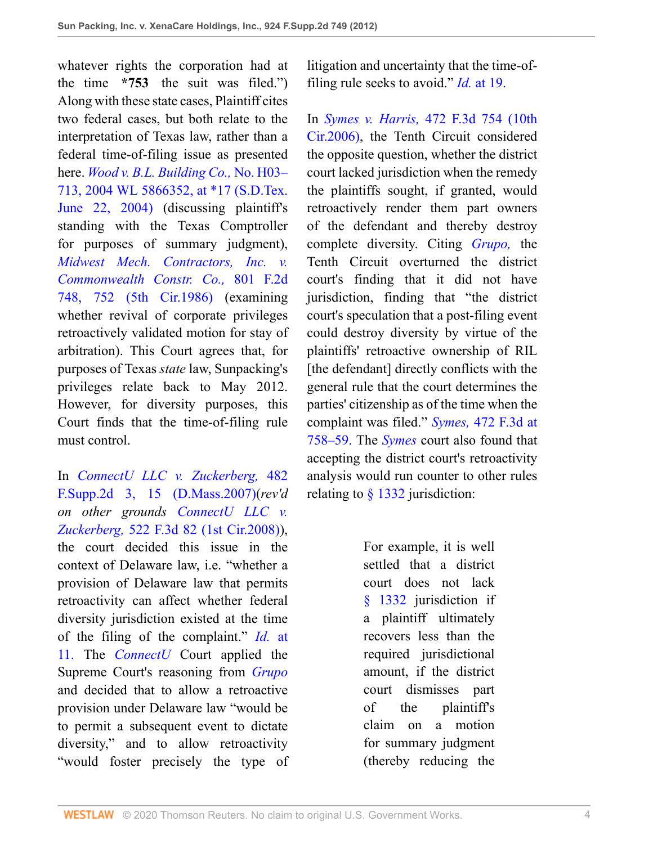whatever rights the corporation had at the time **\*753** the suit was filed.") Along with these state cases, Plaintiff cites two federal cases, but both relate to the interpretation of Texas law, rather than a federal time-of-filing issue as presented here. *[Wood v. B.L. Building Co.,](http://www.westlaw.com/Link/Document/FullText?findType=Y&serNum=2023265780&pubNum=0000999&originatingDoc=I87cd8c993fe211e28a21ccb9036b2470&refType=RP&originationContext=document&vr=3.0&rs=cblt1.0&transitionType=DocumentItem&contextData=(sc.UserEnteredCitation))* No. H03– [713, 2004 WL 5866352, at \\*17 \(S.D.Tex.](http://www.westlaw.com/Link/Document/FullText?findType=Y&serNum=2023265780&pubNum=0000999&originatingDoc=I87cd8c993fe211e28a21ccb9036b2470&refType=RP&originationContext=document&vr=3.0&rs=cblt1.0&transitionType=DocumentItem&contextData=(sc.UserEnteredCitation)) [June 22, 2004\)](http://www.westlaw.com/Link/Document/FullText?findType=Y&serNum=2023265780&pubNum=0000999&originatingDoc=I87cd8c993fe211e28a21ccb9036b2470&refType=RP&originationContext=document&vr=3.0&rs=cblt1.0&transitionType=DocumentItem&contextData=(sc.UserEnteredCitation)) (discussing plaintiff's standing with the Texas Comptroller for purposes of summary judgment), *[Midwest Mech. Contractors, Inc. v.](http://www.westlaw.com/Link/Document/FullText?findType=Y&serNum=1986149377&pubNum=350&originatingDoc=I87cd8c993fe211e28a21ccb9036b2470&refType=RP&fi=co_pp_sp_350_752&originationContext=document&vr=3.0&rs=cblt1.0&transitionType=DocumentItem&contextData=(sc.UserEnteredCitation)#co_pp_sp_350_752) [Commonwealth Constr. Co.,](http://www.westlaw.com/Link/Document/FullText?findType=Y&serNum=1986149377&pubNum=350&originatingDoc=I87cd8c993fe211e28a21ccb9036b2470&refType=RP&fi=co_pp_sp_350_752&originationContext=document&vr=3.0&rs=cblt1.0&transitionType=DocumentItem&contextData=(sc.UserEnteredCitation)#co_pp_sp_350_752)* 801 F.2d [748, 752 \(5th Cir.1986\)](http://www.westlaw.com/Link/Document/FullText?findType=Y&serNum=1986149377&pubNum=350&originatingDoc=I87cd8c993fe211e28a21ccb9036b2470&refType=RP&fi=co_pp_sp_350_752&originationContext=document&vr=3.0&rs=cblt1.0&transitionType=DocumentItem&contextData=(sc.UserEnteredCitation)#co_pp_sp_350_752) (examining whether revival of corporate privileges retroactively validated motion for stay of arbitration). This Court agrees that, for purposes of Texas *state* law, Sunpacking's privileges relate back to May 2012. However, for diversity purposes, this Court finds that the time-of-filing rule must control.

In *[ConnectU LLC v. Zuckerberg,](http://www.westlaw.com/Link/Document/FullText?findType=Y&serNum=2011946765&pubNum=4637&originatingDoc=I87cd8c993fe211e28a21ccb9036b2470&refType=RP&fi=co_pp_sp_4637_15&originationContext=document&vr=3.0&rs=cblt1.0&transitionType=DocumentItem&contextData=(sc.UserEnteredCitation)#co_pp_sp_4637_15)* 482 [F.Supp.2d 3, 15 \(D.Mass.2007\)](http://www.westlaw.com/Link/Document/FullText?findType=Y&serNum=2011946765&pubNum=4637&originatingDoc=I87cd8c993fe211e28a21ccb9036b2470&refType=RP&fi=co_pp_sp_4637_15&originationContext=document&vr=3.0&rs=cblt1.0&transitionType=DocumentItem&contextData=(sc.UserEnteredCitation)#co_pp_sp_4637_15)(*rev'd on other grounds [ConnectU LLC v.](http://www.westlaw.com/Link/Document/FullText?findType=Y&serNum=2015711788&pubNum=506&originatingDoc=I87cd8c993fe211e28a21ccb9036b2470&refType=RP&originationContext=document&vr=3.0&rs=cblt1.0&transitionType=DocumentItem&contextData=(sc.UserEnteredCitation)) Zuckerberg,* [522 F.3d 82 \(1st Cir.2008\)](http://www.westlaw.com/Link/Document/FullText?findType=Y&serNum=2015711788&pubNum=506&originatingDoc=I87cd8c993fe211e28a21ccb9036b2470&refType=RP&originationContext=document&vr=3.0&rs=cblt1.0&transitionType=DocumentItem&contextData=(sc.UserEnteredCitation))), the court decided this issue in the context of Delaware law, i.e. "whether a provision of Delaware law that permits retroactivity can affect whether federal diversity jurisdiction existed at the time of the filing of the complaint." *Id.* [at](http://www.westlaw.com/Link/Document/FullText?findType=Y&serNum=2011946765&originatingDoc=I87cd8c993fe211e28a21ccb9036b2470&refType=RP&originationContext=document&vr=3.0&rs=cblt1.0&transitionType=DocumentItem&contextData=(sc.UserEnteredCitation)) [11.](http://www.westlaw.com/Link/Document/FullText?findType=Y&serNum=2011946765&originatingDoc=I87cd8c993fe211e28a21ccb9036b2470&refType=RP&originationContext=document&vr=3.0&rs=cblt1.0&transitionType=DocumentItem&contextData=(sc.UserEnteredCitation)) The *[ConnectU](http://www.westlaw.com/Link/Document/FullText?findType=Y&serNum=2011946765&originatingDoc=I87cd8c993fe211e28a21ccb9036b2470&refType=RP&originationContext=document&vr=3.0&rs=cblt1.0&transitionType=DocumentItem&contextData=(sc.UserEnteredCitation))* Court applied the Supreme Court's reasoning from *[Grupo](http://www.westlaw.com/Link/Document/FullText?findType=Y&serNum=2004477014&originatingDoc=I87cd8c993fe211e28a21ccb9036b2470&refType=RP&originationContext=document&vr=3.0&rs=cblt1.0&transitionType=DocumentItem&contextData=(sc.UserEnteredCitation))* and decided that to allow a retroactive provision under Delaware law "would be to permit a subsequent event to dictate diversity," and to allow retroactivity "would foster precisely the type of litigation and uncertainty that the time-offiling rule seeks to avoid." *Id.* [at 19.](http://www.westlaw.com/Link/Document/FullText?findType=Y&serNum=2011946765&originatingDoc=I87cd8c993fe211e28a21ccb9036b2470&refType=RP&originationContext=document&vr=3.0&rs=cblt1.0&transitionType=DocumentItem&contextData=(sc.UserEnteredCitation))

In *Symes v. Harris,* [472 F.3d 754 \(10th](http://www.westlaw.com/Link/Document/FullText?findType=Y&serNum=2010950481&pubNum=506&originatingDoc=I87cd8c993fe211e28a21ccb9036b2470&refType=RP&originationContext=document&vr=3.0&rs=cblt1.0&transitionType=DocumentItem&contextData=(sc.UserEnteredCitation)) [Cir.2006\)](http://www.westlaw.com/Link/Document/FullText?findType=Y&serNum=2010950481&pubNum=506&originatingDoc=I87cd8c993fe211e28a21ccb9036b2470&refType=RP&originationContext=document&vr=3.0&rs=cblt1.0&transitionType=DocumentItem&contextData=(sc.UserEnteredCitation)), the Tenth Circuit considered the opposite question, whether the district court lacked jurisdiction when the remedy the plaintiffs sought, if granted, would retroactively render them part owners of the defendant and thereby destroy complete diversity. Citing *[Grupo,](http://www.westlaw.com/Link/Document/FullText?findType=Y&serNum=2004477014&originatingDoc=I87cd8c993fe211e28a21ccb9036b2470&refType=RP&originationContext=document&vr=3.0&rs=cblt1.0&transitionType=DocumentItem&contextData=(sc.UserEnteredCitation))* the Tenth Circuit overturned the district court's finding that it did not have jurisdiction, finding that "the district court's speculation that a post-filing event could destroy diversity by virtue of the plaintiffs' retroactive ownership of RIL [the defendant] directly conflicts with the general rule that the court determines the parties' citizenship as of the time when the complaint was filed." *Symes,* [472 F.3d at](http://www.westlaw.com/Link/Document/FullText?findType=Y&serNum=2010950481&pubNum=506&originatingDoc=I87cd8c993fe211e28a21ccb9036b2470&refType=RP&fi=co_pp_sp_506_758&originationContext=document&vr=3.0&rs=cblt1.0&transitionType=DocumentItem&contextData=(sc.UserEnteredCitation)#co_pp_sp_506_758) [758–59.](http://www.westlaw.com/Link/Document/FullText?findType=Y&serNum=2010950481&pubNum=506&originatingDoc=I87cd8c993fe211e28a21ccb9036b2470&refType=RP&fi=co_pp_sp_506_758&originationContext=document&vr=3.0&rs=cblt1.0&transitionType=DocumentItem&contextData=(sc.UserEnteredCitation)#co_pp_sp_506_758) The *[Symes](http://www.westlaw.com/Link/Document/FullText?findType=Y&serNum=2010950481&originatingDoc=I87cd8c993fe211e28a21ccb9036b2470&refType=RP&originationContext=document&vr=3.0&rs=cblt1.0&transitionType=DocumentItem&contextData=(sc.UserEnteredCitation))* court also found that accepting the district court's retroactivity analysis would run counter to other rules relating to [§ 1332](http://www.westlaw.com/Link/Document/FullText?findType=L&pubNum=1000546&cite=28USCAS1332&originatingDoc=I87cd8c993fe211e28a21ccb9036b2470&refType=LQ&originationContext=document&vr=3.0&rs=cblt1.0&transitionType=DocumentItem&contextData=(sc.UserEnteredCitation)) jurisdiction:

> For example, it is well settled that a district court does not lack [§ 1332](http://www.westlaw.com/Link/Document/FullText?findType=L&pubNum=1000546&cite=28USCAS1332&originatingDoc=I87cd8c993fe211e28a21ccb9036b2470&refType=LQ&originationContext=document&vr=3.0&rs=cblt1.0&transitionType=DocumentItem&contextData=(sc.UserEnteredCitation)) jurisdiction if a plaintiff ultimately recovers less than the required jurisdictional amount, if the district court dismisses part of the plaintiff's claim on a motion for summary judgment (thereby reducing the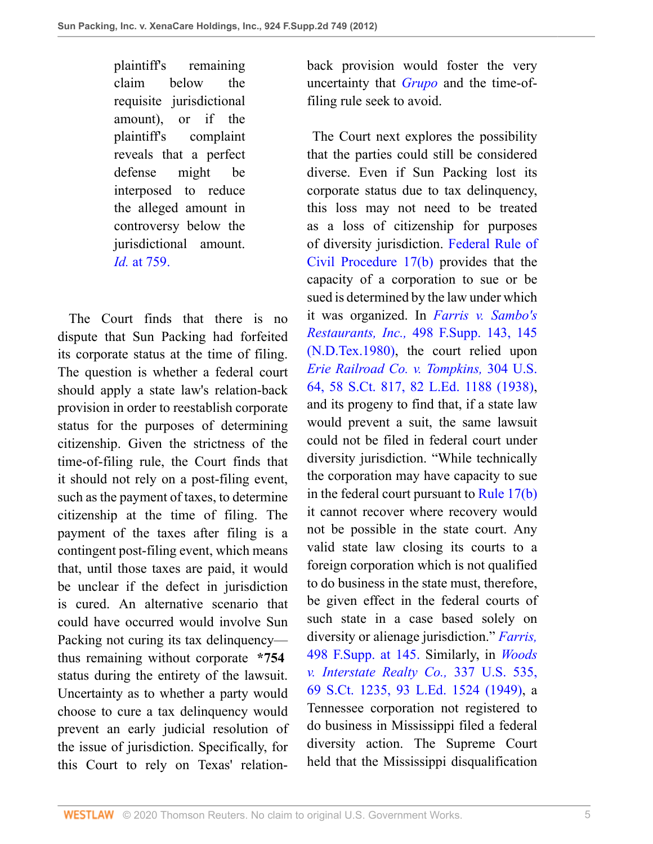plaintiff's remaining claim below the requisite jurisdictional amount), or if the plaintiff's complaint reveals that a perfect defense might be interposed to reduce the alleged amount in controversy below the jurisdictional amount. *Id.* [at 759.](http://www.westlaw.com/Link/Document/FullText?findType=Y&serNum=2010950481&originatingDoc=I87cd8c993fe211e28a21ccb9036b2470&refType=RP&originationContext=document&vr=3.0&rs=cblt1.0&transitionType=DocumentItem&contextData=(sc.UserEnteredCitation))

 The Court finds that there is no dispute that Sun Packing had forfeited its corporate status at the time of filing. The question is whether a federal court should apply a state law's relation-back provision in order to reestablish corporate status for the purposes of determining citizenship. Given the strictness of the time-of-filing rule, the Court finds that it should not rely on a post-filing event, such as the payment of taxes, to determine citizenship at the time of filing. The payment of the taxes after filing is a contingent post-filing event, which means that, until those taxes are paid, it would be unclear if the defect in jurisdiction is cured. An alternative scenario that could have occurred would involve Sun Packing not curing its tax delinquency thus remaining without corporate **\*754** status during the entirety of the lawsuit. Uncertainty as to whether a party would choose to cure a tax delinquency would prevent an early judicial resolution of the issue of jurisdiction. Specifically, for this Court to rely on Texas' relationback provision would foster the very uncertainty that *[Grupo](http://www.westlaw.com/Link/Document/FullText?findType=Y&serNum=2004477014&originatingDoc=I87cd8c993fe211e28a21ccb9036b2470&refType=RP&originationContext=document&vr=3.0&rs=cblt1.0&transitionType=DocumentItem&contextData=(sc.UserEnteredCitation))* and the time-offiling rule seek to avoid.

 The Court next explores the possibility that the parties could still be considered diverse. Even if Sun Packing lost its corporate status due to tax delinquency, this loss may not need to be treated as a loss of citizenship for purposes of diversity jurisdiction. [Federal Rule of](http://www.westlaw.com/Link/Document/FullText?findType=L&pubNum=1004365&cite=USFRCPR17&originatingDoc=I87cd8c993fe211e28a21ccb9036b2470&refType=LQ&originationContext=document&vr=3.0&rs=cblt1.0&transitionType=DocumentItem&contextData=(sc.UserEnteredCitation)) [Civil Procedure 17\(b\)](http://www.westlaw.com/Link/Document/FullText?findType=L&pubNum=1004365&cite=USFRCPR17&originatingDoc=I87cd8c993fe211e28a21ccb9036b2470&refType=LQ&originationContext=document&vr=3.0&rs=cblt1.0&transitionType=DocumentItem&contextData=(sc.UserEnteredCitation)) provides that the capacity of a corporation to sue or be sued is determined by the law under which it was organized. In *[Farris v. Sambo's](http://www.westlaw.com/Link/Document/FullText?findType=Y&serNum=1980141952&pubNum=345&originatingDoc=I87cd8c993fe211e28a21ccb9036b2470&refType=RP&fi=co_pp_sp_345_145&originationContext=document&vr=3.0&rs=cblt1.0&transitionType=DocumentItem&contextData=(sc.UserEnteredCitation)#co_pp_sp_345_145) Restaurants, Inc.,* [498 F.Supp. 143, 145](http://www.westlaw.com/Link/Document/FullText?findType=Y&serNum=1980141952&pubNum=345&originatingDoc=I87cd8c993fe211e28a21ccb9036b2470&refType=RP&fi=co_pp_sp_345_145&originationContext=document&vr=3.0&rs=cblt1.0&transitionType=DocumentItem&contextData=(sc.UserEnteredCitation)#co_pp_sp_345_145) [\(N.D.Tex.1980\)](http://www.westlaw.com/Link/Document/FullText?findType=Y&serNum=1980141952&pubNum=345&originatingDoc=I87cd8c993fe211e28a21ccb9036b2470&refType=RP&fi=co_pp_sp_345_145&originationContext=document&vr=3.0&rs=cblt1.0&transitionType=DocumentItem&contextData=(sc.UserEnteredCitation)#co_pp_sp_345_145), the court relied upon *[Erie Railroad Co. v. Tompkins,](http://www.westlaw.com/Link/Document/FullText?findType=Y&serNum=1938121079&pubNum=708&originatingDoc=I87cd8c993fe211e28a21ccb9036b2470&refType=RP&originationContext=document&vr=3.0&rs=cblt1.0&transitionType=DocumentItem&contextData=(sc.UserEnteredCitation))* 304 U.S. [64, 58 S.Ct. 817, 82 L.Ed. 1188 \(1938\),](http://www.westlaw.com/Link/Document/FullText?findType=Y&serNum=1938121079&pubNum=708&originatingDoc=I87cd8c993fe211e28a21ccb9036b2470&refType=RP&originationContext=document&vr=3.0&rs=cblt1.0&transitionType=DocumentItem&contextData=(sc.UserEnteredCitation)) and its progeny to find that, if a state law would prevent a suit, the same lawsuit could not be filed in federal court under diversity jurisdiction. "While technically the corporation may have capacity to sue in the federal court pursuant to [Rule 17\(b\)](http://www.westlaw.com/Link/Document/FullText?findType=L&pubNum=1004365&cite=USFRCPR17&originatingDoc=I87cd8c993fe211e28a21ccb9036b2470&refType=LQ&originationContext=document&vr=3.0&rs=cblt1.0&transitionType=DocumentItem&contextData=(sc.UserEnteredCitation)) it cannot recover where recovery would not be possible in the state court. Any valid state law closing its courts to a foreign corporation which is not qualified to do business in the state must, therefore, be given effect in the federal courts of such state in a case based solely on diversity or alienage jurisdiction." *[Farris,](http://www.westlaw.com/Link/Document/FullText?findType=Y&serNum=1980141952&pubNum=345&originatingDoc=I87cd8c993fe211e28a21ccb9036b2470&refType=RP&fi=co_pp_sp_345_145&originationContext=document&vr=3.0&rs=cblt1.0&transitionType=DocumentItem&contextData=(sc.UserEnteredCitation)#co_pp_sp_345_145)* [498 F.Supp. at 145.](http://www.westlaw.com/Link/Document/FullText?findType=Y&serNum=1980141952&pubNum=345&originatingDoc=I87cd8c993fe211e28a21ccb9036b2470&refType=RP&fi=co_pp_sp_345_145&originationContext=document&vr=3.0&rs=cblt1.0&transitionType=DocumentItem&contextData=(sc.UserEnteredCitation)#co_pp_sp_345_145) Similarly, in *[Woods](http://www.westlaw.com/Link/Document/FullText?findType=Y&serNum=1949119616&pubNum=708&originatingDoc=I87cd8c993fe211e28a21ccb9036b2470&refType=RP&originationContext=document&vr=3.0&rs=cblt1.0&transitionType=DocumentItem&contextData=(sc.UserEnteredCitation)) [v. Interstate Realty Co.,](http://www.westlaw.com/Link/Document/FullText?findType=Y&serNum=1949119616&pubNum=708&originatingDoc=I87cd8c993fe211e28a21ccb9036b2470&refType=RP&originationContext=document&vr=3.0&rs=cblt1.0&transitionType=DocumentItem&contextData=(sc.UserEnteredCitation))* 337 U.S. 535, [69 S.Ct. 1235, 93 L.Ed. 1524 \(1949\),](http://www.westlaw.com/Link/Document/FullText?findType=Y&serNum=1949119616&pubNum=708&originatingDoc=I87cd8c993fe211e28a21ccb9036b2470&refType=RP&originationContext=document&vr=3.0&rs=cblt1.0&transitionType=DocumentItem&contextData=(sc.UserEnteredCitation)) a Tennessee corporation not registered to do business in Mississippi filed a federal diversity action. The Supreme Court held that the Mississippi disqualification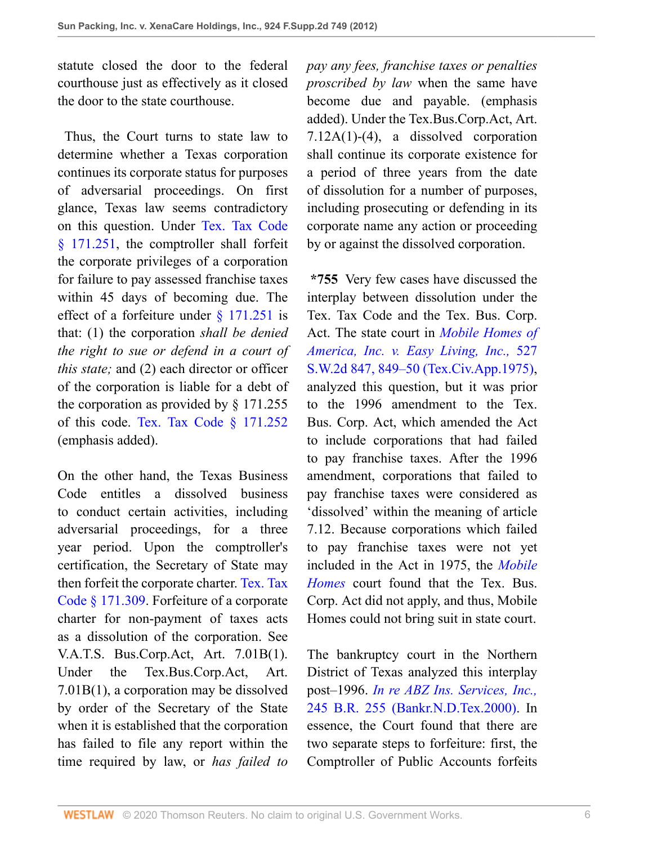statute closed the door to the federal courthouse just as effectively as it closed the door to the state courthouse.

 Thus, the Court turns to state law to determine whether a Texas corporation continues its corporate status for purposes of adversarial proceedings. On first glance, Texas law seems contradictory on this question. Under [Tex. Tax Code](http://www.westlaw.com/Link/Document/FullText?findType=L&pubNum=1000185&cite=TXTXS171.251&originatingDoc=I87cd8c993fe211e28a21ccb9036b2470&refType=LQ&originationContext=document&vr=3.0&rs=cblt1.0&transitionType=DocumentItem&contextData=(sc.UserEnteredCitation)) [§ 171.251,](http://www.westlaw.com/Link/Document/FullText?findType=L&pubNum=1000185&cite=TXTXS171.251&originatingDoc=I87cd8c993fe211e28a21ccb9036b2470&refType=LQ&originationContext=document&vr=3.0&rs=cblt1.0&transitionType=DocumentItem&contextData=(sc.UserEnteredCitation)) the comptroller shall forfeit the corporate privileges of a corporation for failure to pay assessed franchise taxes within 45 days of becoming due. The effect of a forfeiture under [§ 171.251](http://www.westlaw.com/Link/Document/FullText?findType=L&pubNum=1000185&cite=TXTXS171.251&originatingDoc=I87cd8c993fe211e28a21ccb9036b2470&refType=LQ&originationContext=document&vr=3.0&rs=cblt1.0&transitionType=DocumentItem&contextData=(sc.UserEnteredCitation)) is that: (1) the corporation *shall be denied the right to sue or defend in a court of this state;* and (2) each director or officer of the corporation is liable for a debt of the corporation as provided by § 171.255 of this code. [Tex. Tax Code § 171.252](http://www.westlaw.com/Link/Document/FullText?findType=L&pubNum=1000185&cite=TXTXS171.252&originatingDoc=I87cd8c993fe211e28a21ccb9036b2470&refType=LQ&originationContext=document&vr=3.0&rs=cblt1.0&transitionType=DocumentItem&contextData=(sc.UserEnteredCitation)) (emphasis added).

On the other hand, the Texas Business Code entitles a dissolved business to conduct certain activities, including adversarial proceedings, for a three year period. Upon the comptroller's certification, the Secretary of State may then forfeit the corporate charter. [Tex. Tax](http://www.westlaw.com/Link/Document/FullText?findType=L&pubNum=1000185&cite=TXTXS171.309&originatingDoc=I87cd8c993fe211e28a21ccb9036b2470&refType=LQ&originationContext=document&vr=3.0&rs=cblt1.0&transitionType=DocumentItem&contextData=(sc.UserEnteredCitation)) [Code § 171.309.](http://www.westlaw.com/Link/Document/FullText?findType=L&pubNum=1000185&cite=TXTXS171.309&originatingDoc=I87cd8c993fe211e28a21ccb9036b2470&refType=LQ&originationContext=document&vr=3.0&rs=cblt1.0&transitionType=DocumentItem&contextData=(sc.UserEnteredCitation)) Forfeiture of a corporate charter for non-payment of taxes acts as a dissolution of the corporation. See V.A.T.S. Bus.Corp.Act, Art. 7.01B(1). Under the Tex.Bus.Corp.Act, Art. 7.01B(1), a corporation may be dissolved by order of the Secretary of the State when it is established that the corporation has failed to file any report within the time required by law, or *has failed to*

*pay any fees, franchise taxes or penalties proscribed by law* when the same have become due and payable. (emphasis added). Under the Tex.Bus.Corp.Act, Art. 7.12A(1)-(4), a dissolved corporation shall continue its corporate existence for a period of three years from the date of dissolution for a number of purposes, including prosecuting or defending in its corporate name any action or proceeding by or against the dissolved corporation.

**\*755** Very few cases have discussed the interplay between dissolution under the Tex. Tax Code and the Tex. Bus. Corp. Act. The state court in *[Mobile Homes of](http://www.westlaw.com/Link/Document/FullText?findType=Y&serNum=1975135111&pubNum=713&originatingDoc=I87cd8c993fe211e28a21ccb9036b2470&refType=RP&fi=co_pp_sp_713_849&originationContext=document&vr=3.0&rs=cblt1.0&transitionType=DocumentItem&contextData=(sc.UserEnteredCitation)#co_pp_sp_713_849) [America, Inc. v. Easy Living, Inc.,](http://www.westlaw.com/Link/Document/FullText?findType=Y&serNum=1975135111&pubNum=713&originatingDoc=I87cd8c993fe211e28a21ccb9036b2470&refType=RP&fi=co_pp_sp_713_849&originationContext=document&vr=3.0&rs=cblt1.0&transitionType=DocumentItem&contextData=(sc.UserEnteredCitation)#co_pp_sp_713_849)* 527 [S.W.2d 847, 849–50 \(Tex.Civ.App.1975\),](http://www.westlaw.com/Link/Document/FullText?findType=Y&serNum=1975135111&pubNum=713&originatingDoc=I87cd8c993fe211e28a21ccb9036b2470&refType=RP&fi=co_pp_sp_713_849&originationContext=document&vr=3.0&rs=cblt1.0&transitionType=DocumentItem&contextData=(sc.UserEnteredCitation)#co_pp_sp_713_849) analyzed this question, but it was prior to the 1996 amendment to the Tex. Bus. Corp. Act, which amended the Act to include corporations that had failed to pay franchise taxes. After the 1996 amendment, corporations that failed to pay franchise taxes were considered as 'dissolved' within the meaning of article 7.12. Because corporations which failed to pay franchise taxes were not yet included in the Act in 1975, the *[Mobile](http://www.westlaw.com/Link/Document/FullText?findType=Y&serNum=1975135111&originatingDoc=I87cd8c993fe211e28a21ccb9036b2470&refType=RP&originationContext=document&vr=3.0&rs=cblt1.0&transitionType=DocumentItem&contextData=(sc.UserEnteredCitation)) [Homes](http://www.westlaw.com/Link/Document/FullText?findType=Y&serNum=1975135111&originatingDoc=I87cd8c993fe211e28a21ccb9036b2470&refType=RP&originationContext=document&vr=3.0&rs=cblt1.0&transitionType=DocumentItem&contextData=(sc.UserEnteredCitation))* court found that the Tex. Bus. Corp. Act did not apply, and thus, Mobile Homes could not bring suit in state court.

The bankruptcy court in the Northern District of Texas analyzed this interplay post–1996. *[In re ABZ Ins. Services, Inc.,](http://www.westlaw.com/Link/Document/FullText?findType=Y&serNum=2000062897&pubNum=164&originatingDoc=I87cd8c993fe211e28a21ccb9036b2470&refType=RP&originationContext=document&vr=3.0&rs=cblt1.0&transitionType=DocumentItem&contextData=(sc.UserEnteredCitation))* [245 B.R. 255 \(Bankr.N.D.Tex.2000\)](http://www.westlaw.com/Link/Document/FullText?findType=Y&serNum=2000062897&pubNum=164&originatingDoc=I87cd8c993fe211e28a21ccb9036b2470&refType=RP&originationContext=document&vr=3.0&rs=cblt1.0&transitionType=DocumentItem&contextData=(sc.UserEnteredCitation)). In essence, the Court found that there are two separate steps to forfeiture: first, the Comptroller of Public Accounts forfeits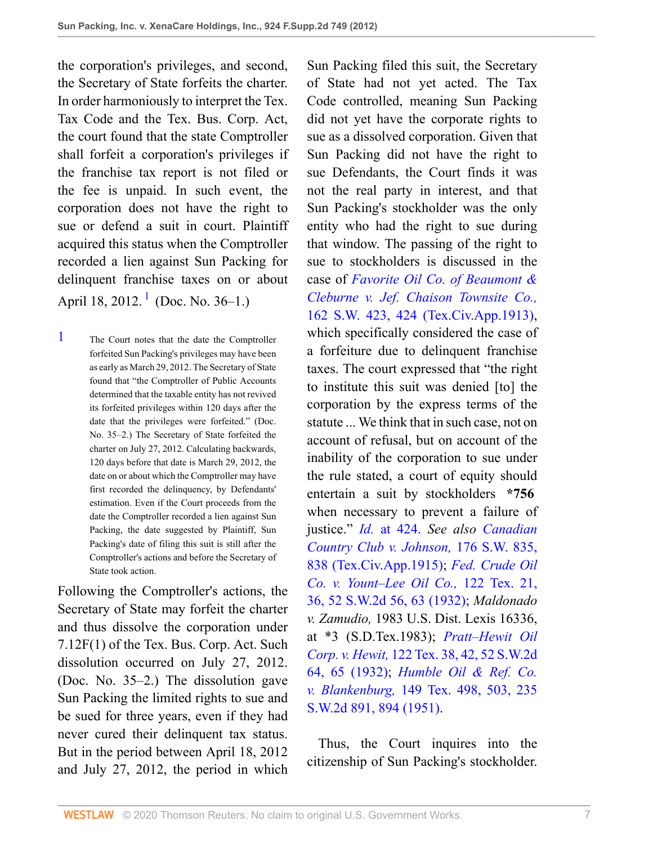the corporation's privileges, and second, the Secretary of State forfeits the charter. In order harmoniously to interpret the Tex. Tax Code and the Tex. Bus. Corp. Act, the court found that the state Comptroller shall forfeit a corporation's privileges if the franchise tax report is not filed or the fee is unpaid. In such event, the corporation does not have the right to sue or defend a suit in court. Plaintiff acquired this status when the Comptroller recorded a lien against Sun Packing for delinquent franchise taxes on or about April [1](#page-6-0)8, 2012.<sup>1</sup> (Doc. No. 36–1.)

<span id="page-6-1"></span><span id="page-6-0"></span>[1](#page-6-1) The Court notes that the date the Comptroller forfeited Sun Packing's privileges may have been as early as March 29, 2012. The Secretary of State found that "the Comptroller of Public Accounts determined that the taxable entity has not revived its forfeited privileges within 120 days after the date that the privileges were forfeited." (Doc. No. 35–2.) The Secretary of State forfeited the charter on July 27, 2012. Calculating backwards, 120 days before that date is March 29, 2012, the date on or about which the Comptroller may have first recorded the delinquency, by Defendants' estimation. Even if the Court proceeds from the date the Comptroller recorded a lien against Sun Packing, the date suggested by Plaintiff, Sun Packing's date of filing this suit is still after the Comptroller's actions and before the Secretary of State took action.

Following the Comptroller's actions, the Secretary of State may forfeit the charter and thus dissolve the corporation under 7.12F(1) of the Tex. Bus. Corp. Act. Such dissolution occurred on July 27, 2012. (Doc. No. 35–2.) The dissolution gave Sun Packing the limited rights to sue and be sued for three years, even if they had never cured their delinquent tax status. But in the period between April 18, 2012 and July 27, 2012, the period in which

Sun Packing filed this suit, the Secretary of State had not yet acted. The Tax Code controlled, meaning Sun Packing did not yet have the corporate rights to sue as a dissolved corporation. Given that Sun Packing did not have the right to sue Defendants, the Court finds it was not the real party in interest, and that Sun Packing's stockholder was the only entity who had the right to sue during that window. The passing of the right to sue to stockholders is discussed in the case of *[Favorite Oil Co. of Beaumont &](http://www.westlaw.com/Link/Document/FullText?findType=Y&serNum=1913013794&pubNum=712&originatingDoc=I87cd8c993fe211e28a21ccb9036b2470&refType=RP&fi=co_pp_sp_712_424&originationContext=document&vr=3.0&rs=cblt1.0&transitionType=DocumentItem&contextData=(sc.UserEnteredCitation)#co_pp_sp_712_424) [Cleburne v. Jef. Chaison Townsite Co.,](http://www.westlaw.com/Link/Document/FullText?findType=Y&serNum=1913013794&pubNum=712&originatingDoc=I87cd8c993fe211e28a21ccb9036b2470&refType=RP&fi=co_pp_sp_712_424&originationContext=document&vr=3.0&rs=cblt1.0&transitionType=DocumentItem&contextData=(sc.UserEnteredCitation)#co_pp_sp_712_424)* [162 S.W. 423, 424 \(Tex.Civ.App.1913\),](http://www.westlaw.com/Link/Document/FullText?findType=Y&serNum=1913013794&pubNum=712&originatingDoc=I87cd8c993fe211e28a21ccb9036b2470&refType=RP&fi=co_pp_sp_712_424&originationContext=document&vr=3.0&rs=cblt1.0&transitionType=DocumentItem&contextData=(sc.UserEnteredCitation)#co_pp_sp_712_424) which specifically considered the case of a forfeiture due to delinquent franchise taxes. The court expressed that "the right to institute this suit was denied [to] the corporation by the express terms of the statute ... We think that in such case, not on account of refusal, but on account of the inability of the corporation to sue under the rule stated, a court of equity should entertain a suit by stockholders **\*756** when necessary to prevent a failure of justice." *Id.* [at 424.](http://www.westlaw.com/Link/Document/FullText?findType=Y&serNum=1913013794&originatingDoc=I87cd8c993fe211e28a21ccb9036b2470&refType=RP&originationContext=document&vr=3.0&rs=cblt1.0&transitionType=DocumentItem&contextData=(sc.UserEnteredCitation)) *See also [Canadian](http://www.westlaw.com/Link/Document/FullText?findType=Y&serNum=1915014864&pubNum=712&originatingDoc=I87cd8c993fe211e28a21ccb9036b2470&refType=RP&fi=co_pp_sp_712_838&originationContext=document&vr=3.0&rs=cblt1.0&transitionType=DocumentItem&contextData=(sc.UserEnteredCitation)#co_pp_sp_712_838) [Country Club v. Johnson,](http://www.westlaw.com/Link/Document/FullText?findType=Y&serNum=1915014864&pubNum=712&originatingDoc=I87cd8c993fe211e28a21ccb9036b2470&refType=RP&fi=co_pp_sp_712_838&originationContext=document&vr=3.0&rs=cblt1.0&transitionType=DocumentItem&contextData=(sc.UserEnteredCitation)#co_pp_sp_712_838)* 176 S.W. 835, [838 \(Tex.Civ.App.1915\);](http://www.westlaw.com/Link/Document/FullText?findType=Y&serNum=1915014864&pubNum=712&originatingDoc=I87cd8c993fe211e28a21ccb9036b2470&refType=RP&fi=co_pp_sp_712_838&originationContext=document&vr=3.0&rs=cblt1.0&transitionType=DocumentItem&contextData=(sc.UserEnteredCitation)#co_pp_sp_712_838) *[Fed. Crude Oil](http://www.westlaw.com/Link/Document/FullText?findType=Y&serNum=1932102077&pubNum=713&originatingDoc=I87cd8c993fe211e28a21ccb9036b2470&refType=RP&fi=co_pp_sp_713_63&originationContext=document&vr=3.0&rs=cblt1.0&transitionType=DocumentItem&contextData=(sc.UserEnteredCitation)#co_pp_sp_713_63) [Co. v. Yount–Lee Oil Co.,](http://www.westlaw.com/Link/Document/FullText?findType=Y&serNum=1932102077&pubNum=713&originatingDoc=I87cd8c993fe211e28a21ccb9036b2470&refType=RP&fi=co_pp_sp_713_63&originationContext=document&vr=3.0&rs=cblt1.0&transitionType=DocumentItem&contextData=(sc.UserEnteredCitation)#co_pp_sp_713_63)* 122 Tex. 21, [36, 52 S.W.2d 56, 63 \(1932\);](http://www.westlaw.com/Link/Document/FullText?findType=Y&serNum=1932102077&pubNum=713&originatingDoc=I87cd8c993fe211e28a21ccb9036b2470&refType=RP&fi=co_pp_sp_713_63&originationContext=document&vr=3.0&rs=cblt1.0&transitionType=DocumentItem&contextData=(sc.UserEnteredCitation)#co_pp_sp_713_63) *Maldonado v. Zamudio,* 1983 U.S. Dist. Lexis 16336, at \*3 (S.D.Tex.1983); *[Pratt–Hewit Oil](http://www.westlaw.com/Link/Document/FullText?findType=Y&serNum=1932102091&pubNum=713&originatingDoc=I87cd8c993fe211e28a21ccb9036b2470&refType=RP&fi=co_pp_sp_713_65&originationContext=document&vr=3.0&rs=cblt1.0&transitionType=DocumentItem&contextData=(sc.UserEnteredCitation)#co_pp_sp_713_65) Corp. v. Hewit,* [122 Tex. 38, 42, 52 S.W.2d](http://www.westlaw.com/Link/Document/FullText?findType=Y&serNum=1932102091&pubNum=713&originatingDoc=I87cd8c993fe211e28a21ccb9036b2470&refType=RP&fi=co_pp_sp_713_65&originationContext=document&vr=3.0&rs=cblt1.0&transitionType=DocumentItem&contextData=(sc.UserEnteredCitation)#co_pp_sp_713_65) [64, 65 \(1932\);](http://www.westlaw.com/Link/Document/FullText?findType=Y&serNum=1932102091&pubNum=713&originatingDoc=I87cd8c993fe211e28a21ccb9036b2470&refType=RP&fi=co_pp_sp_713_65&originationContext=document&vr=3.0&rs=cblt1.0&transitionType=DocumentItem&contextData=(sc.UserEnteredCitation)#co_pp_sp_713_65) *[Humble Oil & Ref. Co.](http://www.westlaw.com/Link/Document/FullText?findType=Y&serNum=1951101995&pubNum=713&originatingDoc=I87cd8c993fe211e28a21ccb9036b2470&refType=RP&fi=co_pp_sp_713_894&originationContext=document&vr=3.0&rs=cblt1.0&transitionType=DocumentItem&contextData=(sc.UserEnteredCitation)#co_pp_sp_713_894) v. Blankenburg,* [149 Tex. 498, 503, 235](http://www.westlaw.com/Link/Document/FullText?findType=Y&serNum=1951101995&pubNum=713&originatingDoc=I87cd8c993fe211e28a21ccb9036b2470&refType=RP&fi=co_pp_sp_713_894&originationContext=document&vr=3.0&rs=cblt1.0&transitionType=DocumentItem&contextData=(sc.UserEnteredCitation)#co_pp_sp_713_894) [S.W.2d 891, 894 \(1951\)](http://www.westlaw.com/Link/Document/FullText?findType=Y&serNum=1951101995&pubNum=713&originatingDoc=I87cd8c993fe211e28a21ccb9036b2470&refType=RP&fi=co_pp_sp_713_894&originationContext=document&vr=3.0&rs=cblt1.0&transitionType=DocumentItem&contextData=(sc.UserEnteredCitation)#co_pp_sp_713_894).

 Thus, the Court inquires into the citizenship of Sun Packing's stockholder.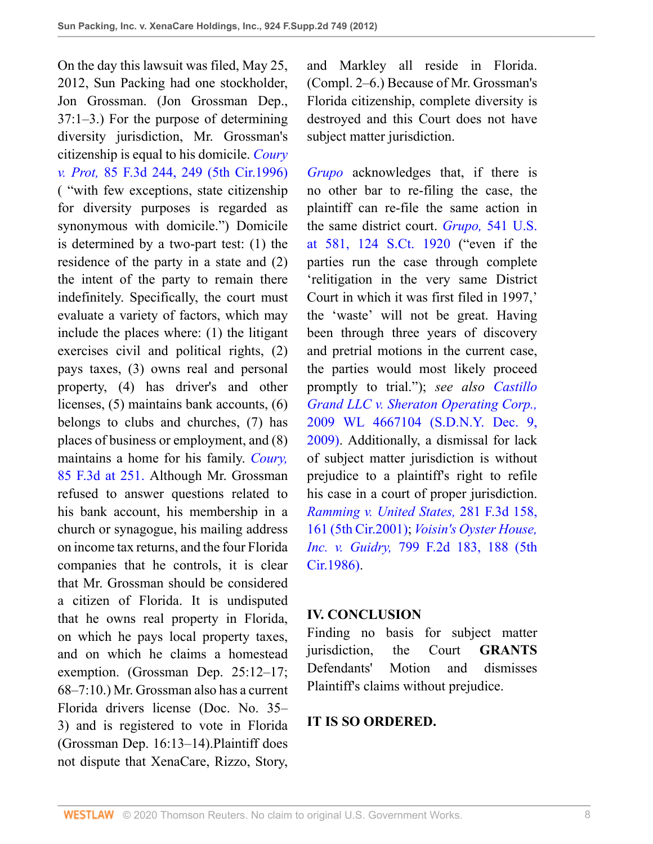On the day this lawsuit was filed, May 25, 2012, Sun Packing had one stockholder, Jon Grossman. (Jon Grossman Dep., 37:1–3.) For the purpose of determining diversity jurisdiction, Mr. Grossman's citizenship is equal to his domicile. *[Coury](http://www.westlaw.com/Link/Document/FullText?findType=Y&serNum=1996128292&pubNum=506&originatingDoc=I87cd8c993fe211e28a21ccb9036b2470&refType=RP&fi=co_pp_sp_506_249&originationContext=document&vr=3.0&rs=cblt1.0&transitionType=DocumentItem&contextData=(sc.UserEnteredCitation)#co_pp_sp_506_249) v. Prot,* [85 F.3d 244, 249 \(5th Cir.1996\)](http://www.westlaw.com/Link/Document/FullText?findType=Y&serNum=1996128292&pubNum=506&originatingDoc=I87cd8c993fe211e28a21ccb9036b2470&refType=RP&fi=co_pp_sp_506_249&originationContext=document&vr=3.0&rs=cblt1.0&transitionType=DocumentItem&contextData=(sc.UserEnteredCitation)#co_pp_sp_506_249) ( "with few exceptions, state citizenship for diversity purposes is regarded as synonymous with domicile.") Domicile is determined by a two-part test: (1) the residence of the party in a state and (2) the intent of the party to remain there indefinitely. Specifically, the court must evaluate a variety of factors, which may include the places where: (1) the litigant exercises civil and political rights, (2) pays taxes, (3) owns real and personal property, (4) has driver's and other licenses, (5) maintains bank accounts, (6) belongs to clubs and churches, (7) has places of business or employment, and (8) maintains a home for his family. *[Coury,](http://www.westlaw.com/Link/Document/FullText?findType=Y&serNum=1996128292&pubNum=506&originatingDoc=I87cd8c993fe211e28a21ccb9036b2470&refType=RP&fi=co_pp_sp_506_251&originationContext=document&vr=3.0&rs=cblt1.0&transitionType=DocumentItem&contextData=(sc.UserEnteredCitation)#co_pp_sp_506_251)* [85 F.3d at 251.](http://www.westlaw.com/Link/Document/FullText?findType=Y&serNum=1996128292&pubNum=506&originatingDoc=I87cd8c993fe211e28a21ccb9036b2470&refType=RP&fi=co_pp_sp_506_251&originationContext=document&vr=3.0&rs=cblt1.0&transitionType=DocumentItem&contextData=(sc.UserEnteredCitation)#co_pp_sp_506_251) Although Mr. Grossman refused to answer questions related to his bank account, his membership in a church or synagogue, his mailing address on income tax returns, and the four Florida companies that he controls, it is clear that Mr. Grossman should be considered a citizen of Florida. It is undisputed that he owns real property in Florida, on which he pays local property taxes, and on which he claims a homestead exemption. (Grossman Dep. 25:12–17; 68–7:10.) Mr. Grossman also has a current Florida drivers license (Doc. No. 35– 3) and is registered to vote in Florida (Grossman Dep. 16:13–14).Plaintiff does not dispute that XenaCare, Rizzo, Story,

and Markley all reside in Florida. (Compl. 2–6.) Because of Mr. Grossman's Florida citizenship, complete diversity is destroyed and this Court does not have subject matter jurisdiction.

*[Grupo](http://www.westlaw.com/Link/Document/FullText?findType=Y&serNum=2004477014&originatingDoc=I87cd8c993fe211e28a21ccb9036b2470&refType=RP&originationContext=document&vr=3.0&rs=cblt1.0&transitionType=DocumentItem&contextData=(sc.UserEnteredCitation))* acknowledges that, if there is no other bar to re-filing the case, the plaintiff can re-file the same action in the same district court. *Grupo,* [541 U.S.](http://www.westlaw.com/Link/Document/FullText?findType=Y&serNum=2004477014&pubNum=708&originatingDoc=I87cd8c993fe211e28a21ccb9036b2470&refType=RP&originationContext=document&vr=3.0&rs=cblt1.0&transitionType=DocumentItem&contextData=(sc.UserEnteredCitation)) [at 581, 124 S.Ct. 1920](http://www.westlaw.com/Link/Document/FullText?findType=Y&serNum=2004477014&pubNum=708&originatingDoc=I87cd8c993fe211e28a21ccb9036b2470&refType=RP&originationContext=document&vr=3.0&rs=cblt1.0&transitionType=DocumentItem&contextData=(sc.UserEnteredCitation)) ("even if the parties run the case through complete 'relitigation in the very same District Court in which it was first filed in 1997,' the 'waste' will not be great. Having been through three years of discovery and pretrial motions in the current case, the parties would most likely proceed promptly to trial."); *see also [Castillo](http://www.westlaw.com/Link/Document/FullText?findType=Y&serNum=2020670152&pubNum=0000999&originatingDoc=I87cd8c993fe211e28a21ccb9036b2470&refType=RP&originationContext=document&vr=3.0&rs=cblt1.0&transitionType=DocumentItem&contextData=(sc.UserEnteredCitation)) [Grand LLC v. Sheraton Operating Corp.,](http://www.westlaw.com/Link/Document/FullText?findType=Y&serNum=2020670152&pubNum=0000999&originatingDoc=I87cd8c993fe211e28a21ccb9036b2470&refType=RP&originationContext=document&vr=3.0&rs=cblt1.0&transitionType=DocumentItem&contextData=(sc.UserEnteredCitation))* [2009 WL 4667104 \(S.D.N.Y. Dec. 9,](http://www.westlaw.com/Link/Document/FullText?findType=Y&serNum=2020670152&pubNum=0000999&originatingDoc=I87cd8c993fe211e28a21ccb9036b2470&refType=RP&originationContext=document&vr=3.0&rs=cblt1.0&transitionType=DocumentItem&contextData=(sc.UserEnteredCitation)) [2009\)](http://www.westlaw.com/Link/Document/FullText?findType=Y&serNum=2020670152&pubNum=0000999&originatingDoc=I87cd8c993fe211e28a21ccb9036b2470&refType=RP&originationContext=document&vr=3.0&rs=cblt1.0&transitionType=DocumentItem&contextData=(sc.UserEnteredCitation)). Additionally, a dismissal for lack of subject matter jurisdiction is without prejudice to a plaintiff's right to refile his case in a court of proper jurisdiction. *[Ramming v. United States,](http://www.westlaw.com/Link/Document/FullText?findType=Y&serNum=2002087977&pubNum=506&originatingDoc=I87cd8c993fe211e28a21ccb9036b2470&refType=RP&fi=co_pp_sp_506_161&originationContext=document&vr=3.0&rs=cblt1.0&transitionType=DocumentItem&contextData=(sc.UserEnteredCitation)#co_pp_sp_506_161)* 281 F.3d 158, [161 \(5th Cir.2001\);](http://www.westlaw.com/Link/Document/FullText?findType=Y&serNum=2002087977&pubNum=506&originatingDoc=I87cd8c993fe211e28a21ccb9036b2470&refType=RP&fi=co_pp_sp_506_161&originationContext=document&vr=3.0&rs=cblt1.0&transitionType=DocumentItem&contextData=(sc.UserEnteredCitation)#co_pp_sp_506_161) *[Voisin's Oyster House,](http://www.westlaw.com/Link/Document/FullText?findType=Y&serNum=1986145420&pubNum=350&originatingDoc=I87cd8c993fe211e28a21ccb9036b2470&refType=RP&fi=co_pp_sp_350_188&originationContext=document&vr=3.0&rs=cblt1.0&transitionType=DocumentItem&contextData=(sc.UserEnteredCitation)#co_pp_sp_350_188) Inc. v. Guidry,* [799 F.2d 183, 188 \(5th](http://www.westlaw.com/Link/Document/FullText?findType=Y&serNum=1986145420&pubNum=350&originatingDoc=I87cd8c993fe211e28a21ccb9036b2470&refType=RP&fi=co_pp_sp_350_188&originationContext=document&vr=3.0&rs=cblt1.0&transitionType=DocumentItem&contextData=(sc.UserEnteredCitation)#co_pp_sp_350_188) [Cir.1986\)](http://www.westlaw.com/Link/Document/FullText?findType=Y&serNum=1986145420&pubNum=350&originatingDoc=I87cd8c993fe211e28a21ccb9036b2470&refType=RP&fi=co_pp_sp_350_188&originationContext=document&vr=3.0&rs=cblt1.0&transitionType=DocumentItem&contextData=(sc.UserEnteredCitation)#co_pp_sp_350_188).

#### **IV. CONCLUSION**

Finding no basis for subject matter jurisdiction, the Court **GRANTS** Defendants' Motion and dismisses Plaintiff's claims without prejudice.

#### **IT IS SO ORDERED.**